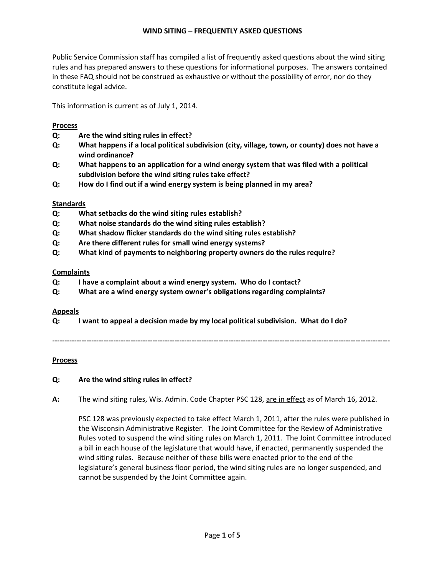## **WIND SITING – FREQUENTLY ASKED QUESTIONS**

Public Service Commission staff has compiled a list of frequently asked questions about the wind siting rules and has prepared answers to these questions for informational purposes. The answers contained in these FAQ should not be construed as exhaustive or without the possibility of error, nor do they constitute legal advice.

This information is current as of July 1, 2014.

## **Process**

- **Q: Are the wind siting rules in effect?**
- **Q: What happens if a local political subdivision (city, village, town, or county) does not have a wind ordinance?**
- **Q: What happens to an application for a wind energy system that was filed with a political subdivision before the wind siting rules take effect?**
- **Q: How do I find out if a wind energy system is being planned in my area?**

## **Standards**

- **Q: What setbacks do the wind siting rules establish?**
- **Q: What noise standards do the wind siting rules establish?**
- **Q: What shadow flicker standards do the wind siting rules establish?**
- **Q: Are there different rules for small wind energy systems?**
- **Q: What kind of payments to neighboring property owners do the rules require?**

## **Complaints**

- **Q: I have a complaint about a wind energy system. Who do I contact?**
- **Q: What are a wind energy system owner's obligations regarding complaints?**

## **Appeals**

**Q: I want to appeal a decision made by my local political subdivision. What do I do?** 

**------------------------------------------------------------------------------------------------------------------------------------------** 

# **Process**

## **Q: Are the wind siting rules in effect?**

**A:** The wind siting rules, Wis. Admin. Code Chapter PSC 128, are in effect as of March 16, 2012.

PSC 128 was previously expected to take effect March 1, 2011, after the rules were published in the Wisconsin Administrative Register. The Joint Committee for the Review of Administrative Rules voted to suspend the wind siting rules on March 1, 2011. The Joint Committee introduced a bill in each house of the legislature that would have, if enacted, permanently suspended the wind siting rules. Because neither of these bills were enacted prior to the end of the legislature's general business floor period, the wind siting rules are no longer suspended, and cannot be suspended by the Joint Committee again.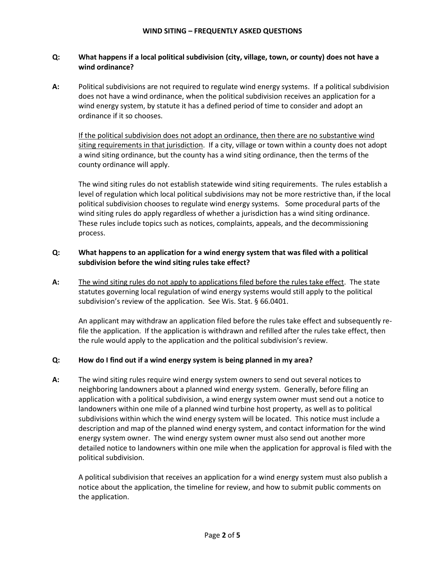## **Q: What happens if a local political subdivision (city, village, town, or county) does not have a wind ordinance?**

**A:** Political subdivisions are not required to regulate wind energy systems. If a political subdivision does not have a wind ordinance, when the political subdivision receives an application for a wind energy system, by statute it has a defined period of time to consider and adopt an ordinance if it so chooses.

If the political subdivision does not adopt an ordinance, then there are no substantive wind siting requirements in that jurisdiction. If a city, village or town within a county does not adopt a wind siting ordinance, but the county has a wind siting ordinance, then the terms of the county ordinance will apply.

The wind siting rules do not establish statewide wind siting requirements. The rules establish a level of regulation which local political subdivisions may not be more restrictive than, if the local political subdivision chooses to regulate wind energy systems. Some procedural parts of the wind siting rules do apply regardless of whether a jurisdiction has a wind siting ordinance. These rules include topics such as notices, complaints, appeals, and the decommissioning process.

## **Q: What happens to an application for a wind energy system that was filed with a political subdivision before the wind siting rules take effect?**

**A:** The wind siting rules do not apply to applications filed before the rules take effect. The state statutes governing local regulation of wind energy systems would still apply to the political subdivision's review of the application. See Wis. Stat. § 66.0401.

An applicant may withdraw an application filed before the rules take effect and subsequently refile the application. If the application is withdrawn and refilled after the rules take effect, then the rule would apply to the application and the political subdivision's review.

# **Q: How do I find out if a wind energy system is being planned in my area?**

**A:** The wind siting rules require wind energy system owners to send out several notices to neighboring landowners about a planned wind energy system. Generally, before filing an application with a political subdivision, a wind energy system owner must send out a notice to landowners within one mile of a planned wind turbine host property, as well as to political subdivisions within which the wind energy system will be located. This notice must include a description and map of the planned wind energy system, and contact information for the wind energy system owner. The wind energy system owner must also send out another more detailed notice to landowners within one mile when the application for approval is filed with the political subdivision.

A political subdivision that receives an application for a wind energy system must also publish a notice about the application, the timeline for review, and how to submit public comments on the application.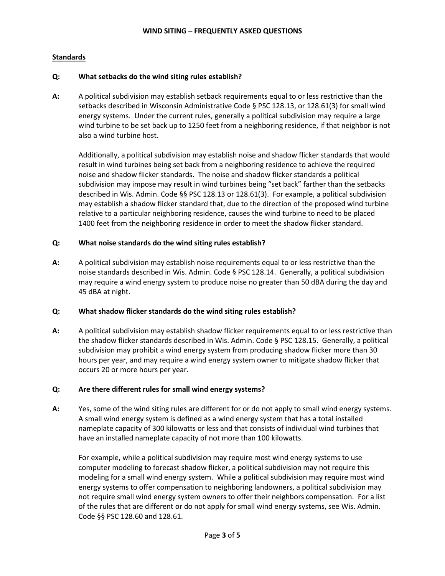## **Standards**

#### **Q: What setbacks do the wind siting rules establish?**

**A:** A political subdivision may establish setback requirements equal to or less restrictive than the setbacks described in Wisconsin Administrative Code § PSC 128.13, or 128.61(3) for small wind energy systems. Under the current rules, generally a political subdivision may require a large wind turbine to be set back up to 1250 feet from a neighboring residence, if that neighbor is not also a wind turbine host.

Additionally, a political subdivision may establish noise and shadow flicker standards that would result in wind turbines being set back from a neighboring residence to achieve the required noise and shadow flicker standards. The noise and shadow flicker standards a political subdivision may impose may result in wind turbines being "set back" farther than the setbacks described in Wis. Admin. Code §§ PSC 128.13 or 128.61(3). For example, a political subdivision may establish a shadow flicker standard that, due to the direction of the proposed wind turbine relative to a particular neighboring residence, causes the wind turbine to need to be placed 1400 feet from the neighboring residence in order to meet the shadow flicker standard.

## **Q: What noise standards do the wind siting rules establish?**

**A:** A political subdivision may establish noise requirements equal to or less restrictive than the noise standards described in Wis. Admin. Code § PSC 128.14. Generally, a political subdivision may require a wind energy system to produce noise no greater than 50 dBA during the day and 45 dBA at night.

## **Q: What shadow flicker standards do the wind siting rules establish?**

**A:** A political subdivision may establish shadow flicker requirements equal to or less restrictive than the shadow flicker standards described in Wis. Admin. Code § PSC 128.15. Generally, a political subdivision may prohibit a wind energy system from producing shadow flicker more than 30 hours per year, and may require a wind energy system owner to mitigate shadow flicker that occurs 20 or more hours per year.

## **Q: Are there different rules for small wind energy systems?**

**A:** Yes, some of the wind siting rules are different for or do not apply to small wind energy systems. A small wind energy system is defined as a wind energy system that has a total installed nameplate capacity of 300 kilowatts or less and that consists of individual wind turbines that have an installed nameplate capacity of not more than 100 kilowatts.

For example, while a political subdivision may require most wind energy systems to use computer modeling to forecast shadow flicker, a political subdivision may not require this modeling for a small wind energy system. While a political subdivision may require most wind energy systems to offer compensation to neighboring landowners, a political subdivision may not require small wind energy system owners to offer their neighbors compensation. For a list of the rules that are different or do not apply for small wind energy systems, see Wis. Admin. Code §§ PSC 128.60 and 128.61.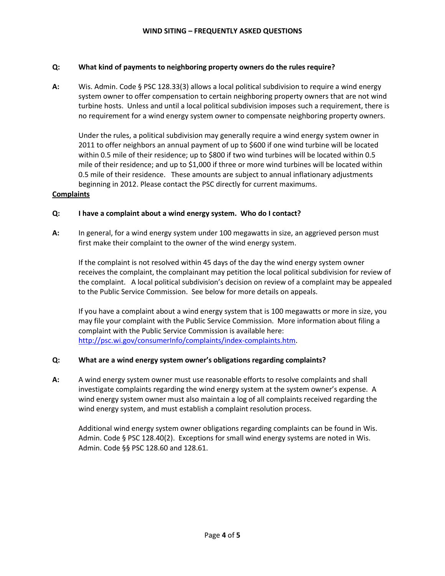## **Q: What kind of payments to neighboring property owners do the rules require?**

**A:** Wis. Admin. Code § PSC 128.33(3) allows a local political subdivision to require a wind energy system owner to offer compensation to certain neighboring property owners that are not wind turbine hosts. Unless and until a local political subdivision imposes such a requirement, there is no requirement for a wind energy system owner to compensate neighboring property owners.

Under the rules, a political subdivision may generally require a wind energy system owner in 2011 to offer neighbors an annual payment of up to \$600 if one wind turbine will be located within 0.5 mile of their residence; up to \$800 if two wind turbines will be located within 0.5 mile of their residence; and up to \$1,000 if three or more wind turbines will be located within 0.5 mile of their residence. These amounts are subject to annual inflationary adjustments beginning in 2012. Please contact the PSC directly for current maximums.

## **Complaints**

## **Q: I have a complaint about a wind energy system. Who do I contact?**

**A:** In general, for a wind energy system under 100 megawatts in size, an aggrieved person must first make their complaint to the owner of the wind energy system.

If the complaint is not resolved within 45 days of the day the wind energy system owner receives the complaint, the complainant may petition the local political subdivision for review of the complaint. A local political subdivision's decision on review of a complaint may be appealed to the Public Service Commission. See below for more details on appeals.

If you have a complaint about a wind energy system that is 100 megawatts or more in size, you may file your complaint with the Public Service Commission. More information about filing a complaint with the Public Service Commission is available here: [http://psc.wi.gov/consumerInfo/complaints/index-complaints.htm.](http://psc.wi.gov/consumerInfo/complaints/index-complaints.htm)

## **Q: What are a wind energy system owner's obligations regarding complaints?**

**A:** A wind energy system owner must use reasonable efforts to resolve complaints and shall investigate complaints regarding the wind energy system at the system owner's expense. A wind energy system owner must also maintain a log of all complaints received regarding the wind energy system, and must establish a complaint resolution process.

Additional wind energy system owner obligations regarding complaints can be found in Wis. Admin. Code § PSC 128.40(2). Exceptions for small wind energy systems are noted in Wis. Admin. Code §§ PSC 128.60 and 128.61.